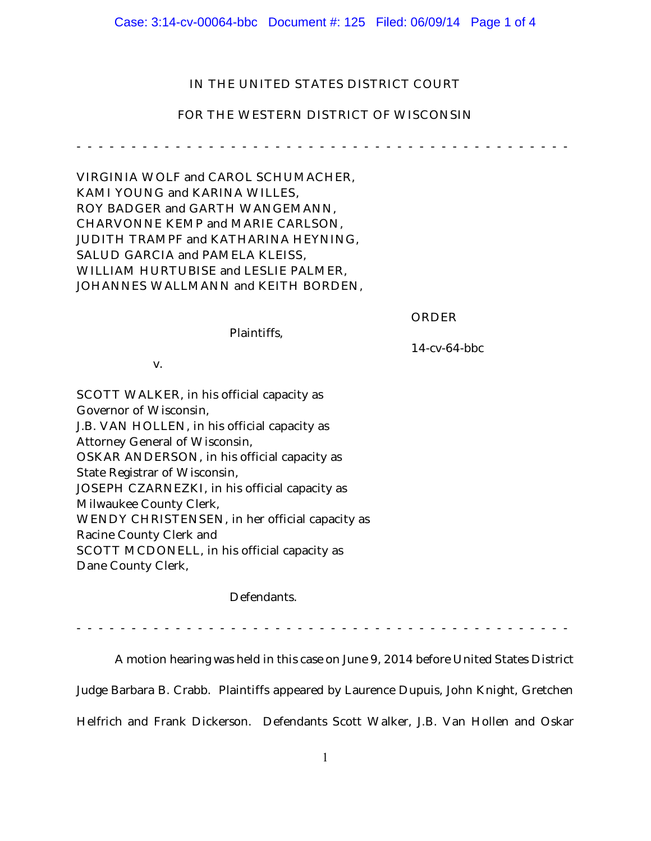### Case: 3:14-cv-00064-bbc Document #: 125 Filed: 06/09/14 Page 1 of 4

# IN THE UNITED STATES DISTRICT COURT

## FOR THE WESTERN DISTRICT OF WISCONSIN

------------- ---------------- ----------------

VIRGINIA WOLF and CAROL SCHUMACHER, KAMI YOUNG and KARINA WILLES, ROY BADGER and GARTH WANGEMANN, CHARVONNE KEMP and MARIE CARLSON, JUDITH TRAMPF and KATHARINA HEYNING, SALUD GARCIA and PAMELA KLEISS, WILLIAM HURTUBISE and LESLIE PALMER, JOHANNES WALLMANN and KEITH BORDEN,

ORDER

Plaintiffs,

14-cv-64-bbc

v.

SCOTT WALKER, in his official capacity as Governor of Wisconsin, J.B. VAN HOLLEN, in his official capacity as Attorney General of Wisconsin, OSKAR ANDERSON, in his official capacity as State Registrar of Wisconsin, JOSEPH CZARNEZKI, in his official capacity as Milwaukee County Clerk, WENDY CHRISTENSEN, in her official capacity as Racine County Clerk and SCOTT MCDONELL, in his official capacity as Dane County Clerk,

Defendants.

------------- ---------------- ----------------

A motion hearing was held in this case on June 9, 2014 before United States District

Judge Barbara B. Crabb. Plaintiffs appeared by Laurence Dupuis, John Knight, Gretchen Helfrich and Frank Dickerson. Defendants Scott Walker, J.B. Van Hollen and Oskar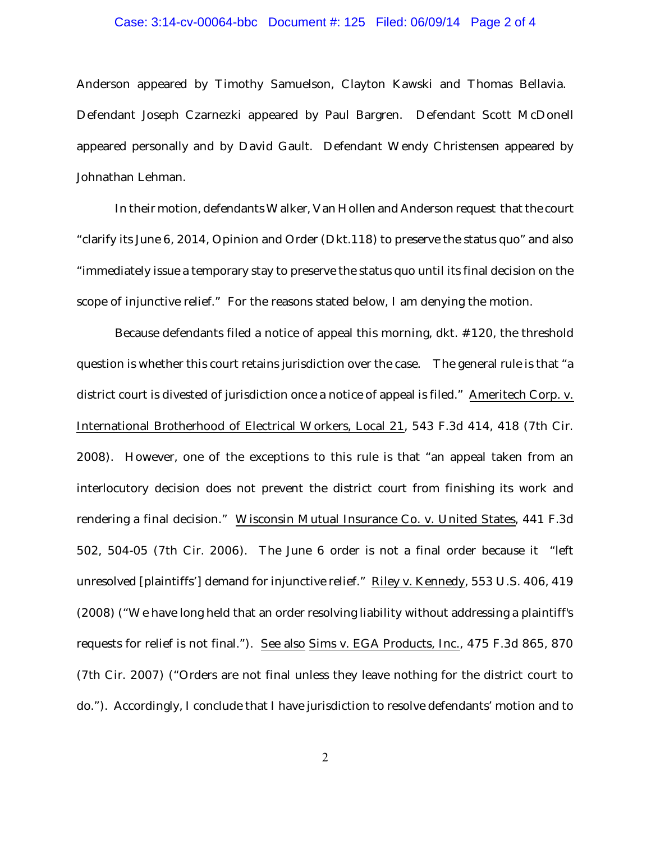### Case: 3:14-cv-00064-bbc Document #: 125 Filed: 06/09/14 Page 2 of 4

Anderson appeared by Timothy Samuelson, Clayton Kawski and Thomas Bellavia. Defendant Joseph Czarnezki appeared by Paul Bargren. Defendant Scott McDonell appeared personally and by David Gault. Defendant Wendy Christensen appeared by Johnathan Lehman.

In their motion, defendants Walker, Van Hollen and Anderson request that the court "clarify its June 6, 2014, Opinion and Order (Dkt.118) to preserve the status quo" and also "immediately issue a temporary stay to preserve the status quo until its final decision on the scope of injunctive relief." For the reasons stated below, I am denying the motion.

Because defendants filed a notice of appeal this morning, dkt. #120, the threshold question is whether this court retains jurisdiction over the case. The general rule is that "a district court is divested of jurisdiction once a notice of appeal is filed." Ameritech Corp. v. International Brotherhood of Electrical Workers, Local 21, 543 F.3d 414, 418 (7th Cir. 2008). However, one of the exceptions to this rule is that "an appeal taken from an interlocutory decision does not prevent the district court from finishing its work and rendering a final decision." Wisconsin Mutual Insurance Co. v. United States, 441 F.3d 502, 504-05 (7th Cir. 2006). The June 6 order is not a final order because it "left unresolved [plaintiffs'] demand for injunctive relief." Riley v. Kennedy, 553 U.S. 406, 419 (2008) ("We have long held that an order resolving liability without addressing a plaintiff's requests for relief is not final."). See also Sims v. EGA Products, Inc., 475 F.3d 865, 870 (7th Cir. 2007) ("Orders are not final unless they leave nothing for the district court to do."). Accordingly, I conclude that I have jurisdiction to resolve defendants' motion and to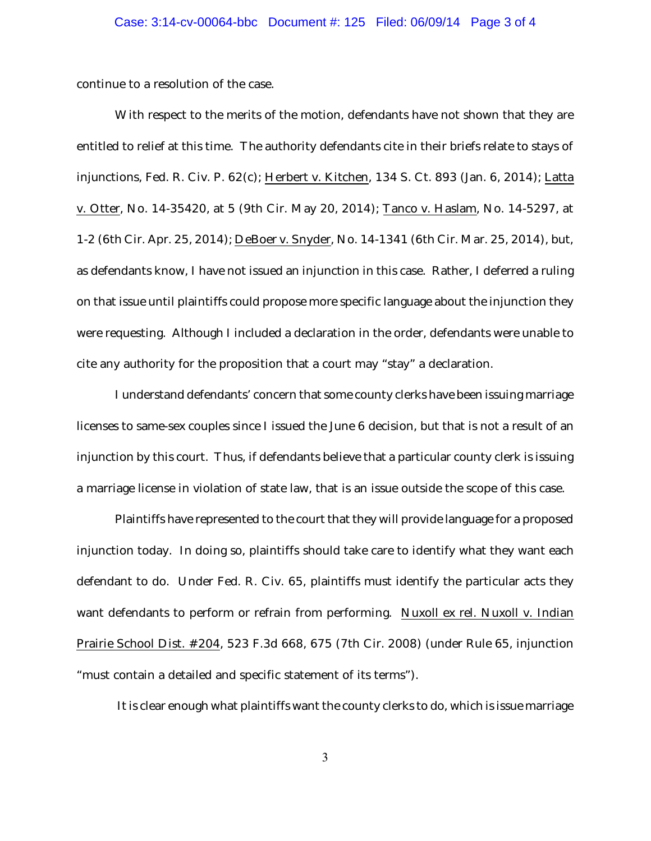continue to a resolution of the case.

With respect to the merits of the motion, defendants have not shown that they are entitled to relief at this time. The authority defendants cite in their briefs relate to stays of injunctions, Fed. R. Civ. P. 62(c); Herbert v. Kitchen, 134 S. Ct. 893 (Jan. 6, 2014); Latta v. Otter, No. 14-35420, at 5 (9th Cir. May 20, 2014); Tanco v. Haslam, No. 14-5297, at 1-2 (6th Cir. Apr. 25, 2014); DeBoer v. Snyder, No. 14-1341 (6th Cir. Mar. 25, 2014), but, as defendants know, I have not issued an injunction in this case. Rather, I deferred a ruling on that issue until plaintiffs could propose more specific language about the injunction they were requesting. Although I included a declaration in the order, defendants were unable to cite any authority for the proposition that a court may "stay" a declaration.

I understand defendants' concern that some county clerks have been issuing marriage licenses to same-sex couples since I issued the June 6 decision, but that is not a result of an injunction by this court. Thus, if defendants believe that a particular county clerk is issuing a marriage license in violation of state law, that is an issue outside the scope of this case.

Plaintiffs have represented to the court that they will provide language for a proposed injunction today. In doing so, plaintiffs should take care to identify what they want each defendant to do. Under Fed. R. Civ. 65, plaintiffs must identify the particular acts they want defendants to perform or refrain from performing. Nuxoll ex rel. Nuxoll v. Indian Prairie School Dist. #204, 523 F.3d 668, 675 (7th Cir. 2008) (under Rule 65, injunction "must contain a detailed and specific statement of its terms").

It is clear enough what plaintiffs want the county clerks to do, which is issue marriage

3